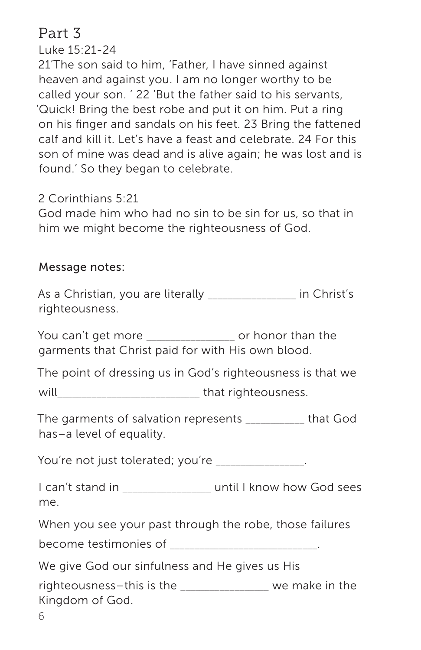# Part 3

Luke 15:21-24

21'The son said to him, 'Father, I have sinned against heaven and against you. I am no longer worthy to be called your son. ' 22 'But the father said to his servants, 'Quick! Bring the best robe and put it on him. Put a ring on his finger and sandals on his feet. 23 Bring the fattened calf and kill it. Let's have a feast and celebrate. 24 For this son of mine was dead and is alive again; he was lost and is found.' So they began to celebrate.

2 Corinthians 5:21

God made him who had no sin to be sin for us, so that in him we might become the righteousness of God.

## Message notes:

As a Christian, you are literally \_\_\_\_\_\_\_\_\_\_\_\_\_\_\_\_\_\_ in Christ's righteousness.

You can't get more entity or honor than the garments that Christ paid for with His own blood.

The point of dressing us in God's righteousness is that we

will will be a set of that righteousness.

The garments of salvation represents \_\_\_\_\_\_\_\_\_\_\_\_ that God has–a level of equality.

You're not just tolerated; you're

I can't stand in \_\_\_\_\_\_\_\_\_\_\_\_\_\_\_\_\_\_ until I know how God sees me.

When you see your past through the robe, those failures

become testimonies of

We give God our sinfulness and He gives us His

righteousness–this is the the same we make in the Kingdom of God.